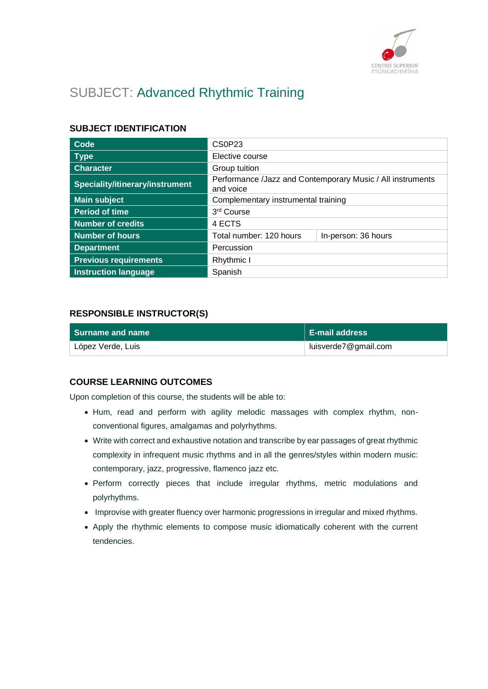

# SUBJECT: Advanced Rhythmic Training

## **SUBJECT IDENTIFICATION**

| Code                            | CS0P23                                                                  |  |
|---------------------------------|-------------------------------------------------------------------------|--|
| <b>Type</b>                     | Elective course                                                         |  |
| <b>Character</b>                | Group tuition                                                           |  |
| Speciality/itinerary/instrument | Performance /Jazz and Contemporary Music / All instruments<br>and voice |  |
| <b>Main subject</b>             | Complementary instrumental training                                     |  |
| <b>Period of time</b>           | 3rd Course                                                              |  |
| <b>Number of credits</b>        | 4 ECTS                                                                  |  |
| <b>Number of hours</b>          | Total number: 120 hours<br>In-person: 36 hours                          |  |
| <b>Department</b>               | Percussion                                                              |  |
| <b>Previous requirements</b>    | Rhythmic I                                                              |  |
| <b>Instruction language</b>     | Spanish                                                                 |  |

### **RESPONSIBLE INSTRUCTOR(S)**

| l Surname and name | <b>E-mail address</b> |
|--------------------|-----------------------|
| López Verde, Luis  | luisverde7@gmail.com  |

### **COURSE LEARNING OUTCOMES**

Upon completion of this course, the students will be able to:

- Hum, read and perform with agility melodic massages with complex rhythm, nonconventional figures, amalgamas and polyrhythms.
- Write with correct and exhaustive notation and transcribe by ear passages of great rhythmic complexity in infrequent music rhythms and in all the genres/styles within modern music: contemporary, jazz, progressive, flamenco jazz etc.
- Perform correctly pieces that include irregular rhythms, metric modulations and polyrhythms.
- Improvise with greater fluency over harmonic progressions in irregular and mixed rhythms.
- Apply the rhythmic elements to compose music idiomatically coherent with the current tendencies.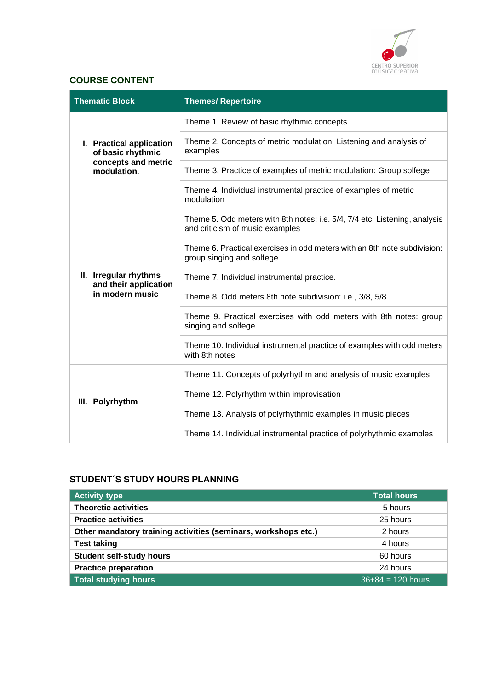

# **COURSE CONTENT**

| <b>Thematic Block</b>                          | <b>Themes/ Repertoire</b>                                                                                     |
|------------------------------------------------|---------------------------------------------------------------------------------------------------------------|
| I. Practical application<br>of basic rhythmic  | Theme 1. Review of basic rhythmic concepts                                                                    |
|                                                | Theme 2. Concepts of metric modulation. Listening and analysis of<br>examples                                 |
| concepts and metric<br>modulation.             | Theme 3. Practice of examples of metric modulation: Group solfege                                             |
|                                                | Theme 4. Individual instrumental practice of examples of metric<br>modulation                                 |
|                                                | Theme 5. Odd meters with 8th notes: i.e. 5/4, 7/4 etc. Listening, analysis<br>and criticism of music examples |
|                                                | Theme 6. Practical exercises in odd meters with an 8th note subdivision:<br>group singing and solfege         |
| II. Irregular rhythms<br>and their application | Theme 7. Individual instrumental practice.                                                                    |
| in modern music                                | Theme 8. Odd meters 8th note subdivision: i.e., 3/8, 5/8.                                                     |
|                                                | Theme 9. Practical exercises with odd meters with 8th notes: group<br>singing and solfege.                    |
|                                                | Theme 10. Individual instrumental practice of examples with odd meters<br>with 8th notes                      |
|                                                | Theme 11. Concepts of polyrhythm and analysis of music examples                                               |
| III. Polyrhythm                                | Theme 12. Polyrhythm within improvisation                                                                     |
|                                                | Theme 13. Analysis of polyrhythmic examples in music pieces                                                   |
|                                                | Theme 14. Individual instrumental practice of polyrhythmic examples                                           |

# **STUDENT´S STUDY HOURS PLANNING**

| <b>Activity type</b>                                           | <b>Total hours</b>  |
|----------------------------------------------------------------|---------------------|
| <b>Theoretic activities</b>                                    | 5 hours             |
| <b>Practice activities</b>                                     | 25 hours            |
| Other mandatory training activities (seminars, workshops etc.) | 2 hours             |
| <b>Test taking</b>                                             | 4 hours             |
| <b>Student self-study hours</b>                                | 60 hours            |
| <b>Practice preparation</b>                                    | 24 hours            |
| <b>Total studying hours</b>                                    | $36+84 = 120$ hours |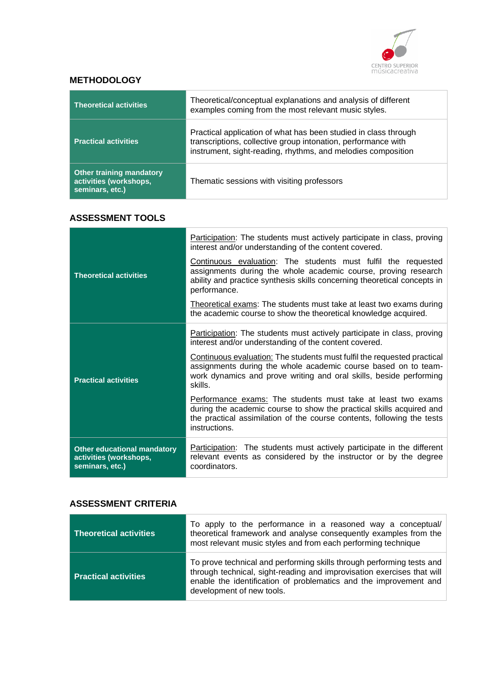

## **METHODOLOGY**

| <b>Theoretical activities</b>                                                | Theoretical/conceptual explanations and analysis of different<br>examples coming from the most relevant music styles.                                                                            |
|------------------------------------------------------------------------------|--------------------------------------------------------------------------------------------------------------------------------------------------------------------------------------------------|
| <b>Practical activities</b>                                                  | Practical application of what has been studied in class through<br>transcriptions, collective group intonation, performance with<br>instrument, sight-reading, rhythms, and melodies composition |
| <b>Other training mandatory</b><br>activities (workshops,<br>seminars, etc.) | Thematic sessions with visiting professors                                                                                                                                                       |

## **ASSESSMENT TOOLS**

|                                                                          | Participation: The students must actively participate in class, proving<br>interest and/or understanding of the content covered.                                                                                                   |
|--------------------------------------------------------------------------|------------------------------------------------------------------------------------------------------------------------------------------------------------------------------------------------------------------------------------|
| <b>Theoretical activities</b>                                            | <b>Continuous evaluation:</b> The students must fulfil the requested<br>assignments during the whole academic course, proving research<br>ability and practice synthesis skills concerning theoretical concepts in<br>performance. |
|                                                                          | Theoretical exams: The students must take at least two exams during<br>the academic course to show the theoretical knowledge acquired.                                                                                             |
| <b>Practical activities</b>                                              | <b>Participation:</b> The students must actively participate in class, proving<br>interest and/or understanding of the content covered.                                                                                            |
|                                                                          | Continuous evaluation: The students must fulfil the requested practical<br>assignments during the whole academic course based on to team-<br>work dynamics and prove writing and oral skills, beside performing<br>skills.         |
|                                                                          | Performance exams: The students must take at least two exams<br>during the academic course to show the practical skills acquired and<br>the practical assimilation of the course contents, following the tests<br>instructions.    |
| Other educational mandatory<br>activities (workshops,<br>seminars, etc.) | <b>Participation:</b> The students must actively participate in the different<br>relevant events as considered by the instructor or by the degree<br>coordinators.                                                                 |

## **ASSESSMENT CRITERIA**

| <b>Theoretical activities</b> | To apply to the performance in a reasoned way a conceptual/<br>theoretical framework and analyse consequently examples from the<br>most relevant music styles and from each performing technique                                                  |
|-------------------------------|---------------------------------------------------------------------------------------------------------------------------------------------------------------------------------------------------------------------------------------------------|
| <b>Practical activities</b>   | To prove technical and performing skills through performing tests and<br>through technical, sight-reading and improvisation exercises that will<br>enable the identification of problematics and the improvement and<br>development of new tools. |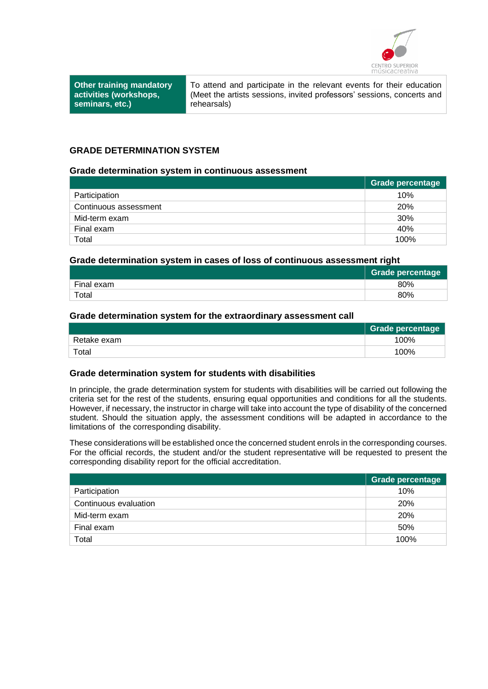

**Other training mandatory activities (workshops, seminars, etc.)**

To attend and participate in the relevant events for their education (Meet the artists sessions, invited professors' sessions, concerts and rehearsals)

## **GRADE DETERMINATION SYSTEM**

#### **Grade determination system in continuous assessment**

|                       | Grade percentage |
|-----------------------|------------------|
| Participation         | 10%              |
| Continuous assessment | <b>20%</b>       |
| Mid-term exam         | 30%              |
| Final exam            | 40%              |
| Total                 | 100%             |

#### **Grade determination system in cases of loss of continuous assessment right**

|            | <b>Grade percentage</b> |
|------------|-------------------------|
| Final exam | 80%                     |
| Total      | 80%                     |

#### **Grade determination system for the extraordinary assessment call**

|             | <b>Grade percentage</b> |
|-------------|-------------------------|
| Retake exam | 100%                    |
| Total       | 100%                    |

#### **Grade determination system for students with disabilities**

In principle, the grade determination system for students with disabilities will be carried out following the criteria set for the rest of the students, ensuring equal opportunities and conditions for all the students. However, if necessary, the instructor in charge will take into account the type of disability of the concerned student. Should the situation apply, the assessment conditions will be adapted in accordance to the limitations of the corresponding disability.

These considerations will be establishedonce the concerned student enrols in the corresponding courses. For the official records, the student and/or the student representative will be requested to present the corresponding disability report for the official accreditation.

|                       | Grade percentage |
|-----------------------|------------------|
| Participation         | 10%              |
| Continuous evaluation | <b>20%</b>       |
| Mid-term exam         | <b>20%</b>       |
| Final exam            | 50%              |
| Total                 | 100%             |